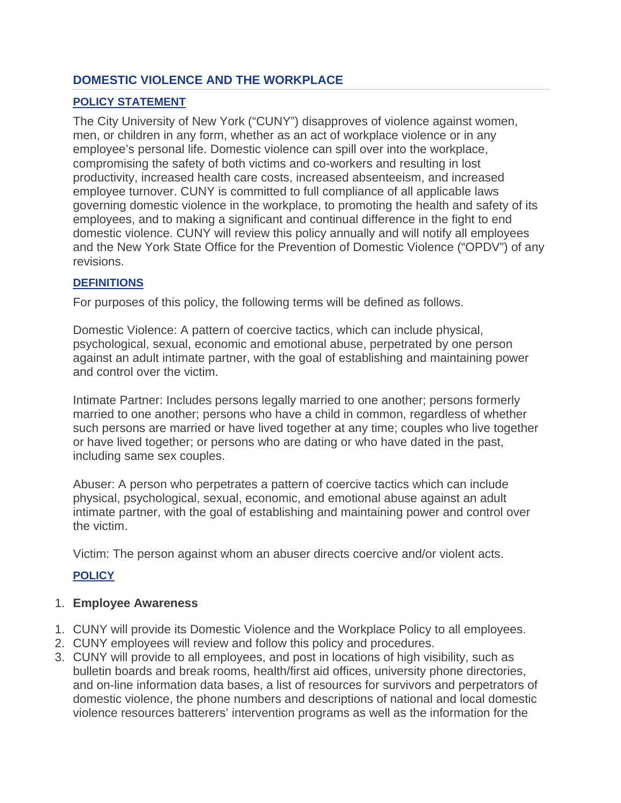# **DOMESTIC VIOLENCE AND THE WORKPLACE**

# **POLICY STATEMENT**

The City University of New York ("CUNY") disapproves of violence against women, men, or children in any form, whether as an act of workplace violence or in any employee's personal life. Domestic violence can spill over into the workplace, compromising the safety of both victims and co-workers and resulting in lost productivity, increased health care costs, increased absenteeism, and increased employee turnover. CUNY is committed to full compliance of all applicable laws governing domestic violence in the workplace, to promoting the health and safety of its employees, and to making a significant and continual difference in the fight to end domestic violence. CUNY will review this policy annually and will notify all employees and the New York State Office for the Prevention of Domestic Violence ("OPDV") of any revisions.

# **DEFINITIONS**

For purposes of this policy, the following terms will be defined as follows.

Domestic Violence: A pattern of coercive tactics, which can include physical, psychological, sexual, economic and emotional abuse, perpetrated by one person against an adult intimate partner, with the goal of establishing and maintaining power and control over the victim.

Intimate Partner: Includes persons legally married to one another; persons formerly married to one another; persons who have a child in common, regardless of whether such persons are married or have lived together at any time; couples who live together or have lived together; or persons who are dating or who have dated in the past, including same sex couples.

Abuser: A person who perpetrates a pattern of coercive tactics which can include physical, psychological, sexual, economic, and emotional abuse against an adult intimate partner, with the goal of establishing and maintaining power and control over the victim.

Victim: The person against whom an abuser directs coercive and/or violent acts.

# **POLICY**

# 1. **Employee Awareness**

- 1. CUNY will provide its Domestic Violence and the Workplace Policy to all employees.
- 2. CUNY employees will review and follow this policy and procedures.
- 3. CUNY will provide to all employees, and post in locations of high visibility, such as bulletin boards and break rooms, health/first aid offices, university phone directories, and on-line information data bases, a list of resources for survivors and perpetrators of domestic violence, the phone numbers and descriptions of national and local domestic violence resources batterers' intervention programs as well as the information for the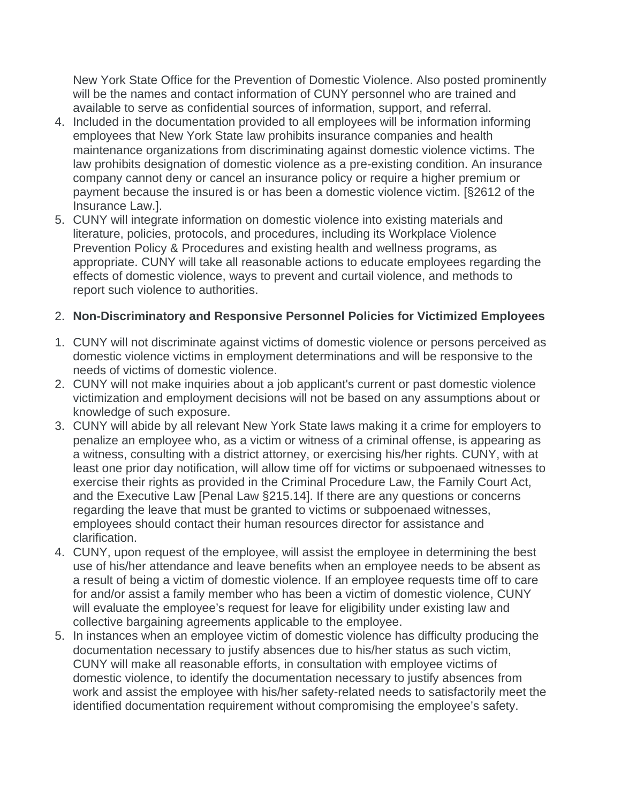New York State Office for the Prevention of Domestic Violence. Also posted prominently will be the names and contact information of CUNY personnel who are trained and available to serve as confidential sources of information, support, and referral.

- 4. Included in the documentation provided to all employees will be information informing employees that New York State law prohibits insurance companies and health maintenance organizations from discriminating against domestic violence victims. The law prohibits designation of domestic violence as a pre-existing condition. An insurance company cannot deny or cancel an insurance policy or require a higher premium or payment because the insured is or has been a domestic violence victim. [§2612 of the Insurance Law.].
- 5. CUNY will integrate information on domestic violence into existing materials and literature, policies, protocols, and procedures, including its Workplace Violence Prevention Policy & Procedures and existing health and wellness programs, as appropriate. CUNY will take all reasonable actions to educate employees regarding the effects of domestic violence, ways to prevent and curtail violence, and methods to report such violence to authorities.

# 2. **Non-Discriminatory and Responsive Personnel Policies for Victimized Employees**

- 1. CUNY will not discriminate against victims of domestic violence or persons perceived as domestic violence victims in employment determinations and will be responsive to the needs of victims of domestic violence.
- 2. CUNY will not make inquiries about a job applicant's current or past domestic violence victimization and employment decisions will not be based on any assumptions about or knowledge of such exposure.
- 3. CUNY will abide by all relevant New York State laws making it a crime for employers to penalize an employee who, as a victim or witness of a criminal offense, is appearing as a witness, consulting with a district attorney, or exercising his/her rights. CUNY, with at least one prior day notification, will allow time off for victims or subpoenaed witnesses to exercise their rights as provided in the Criminal Procedure Law, the Family Court Act, and the Executive Law [Penal Law §215.14]. If there are any questions or concerns regarding the leave that must be granted to victims or subpoenaed witnesses, employees should contact their human resources director for assistance and clarification.
- 4. CUNY, upon request of the employee, will assist the employee in determining the best use of his/her attendance and leave benefits when an employee needs to be absent as a result of being a victim of domestic violence. If an employee requests time off to care for and/or assist a family member who has been a victim of domestic violence, CUNY will evaluate the employee's request for leave for eligibility under existing law and collective bargaining agreements applicable to the employee.
- 5. In instances when an employee victim of domestic violence has difficulty producing the documentation necessary to justify absences due to his/her status as such victim, CUNY will make all reasonable efforts, in consultation with employee victims of domestic violence, to identify the documentation necessary to justify absences from work and assist the employee with his/her safety-related needs to satisfactorily meet the identified documentation requirement without compromising the employee's safety.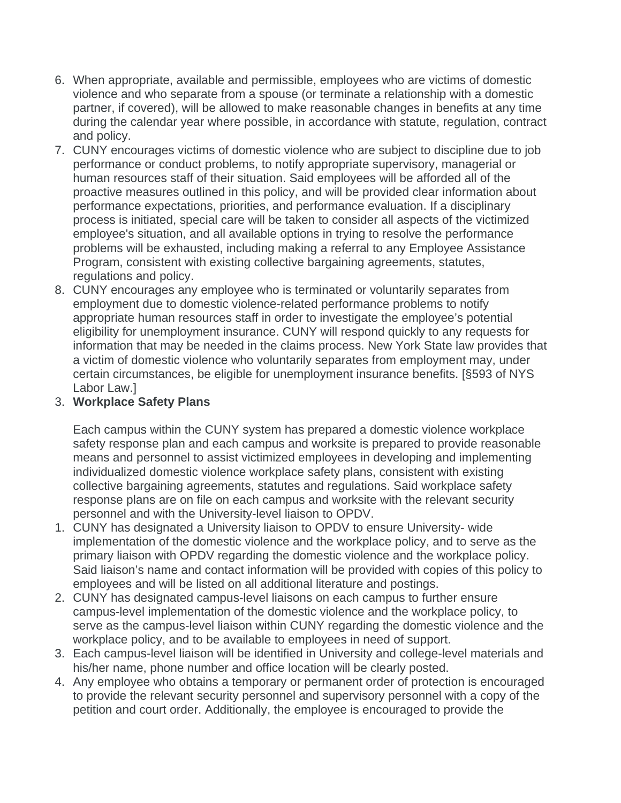- 6. When appropriate, available and permissible, employees who are victims of domestic violence and who separate from a spouse (or terminate a relationship with a domestic partner, if covered), will be allowed to make reasonable changes in benefits at any time during the calendar year where possible, in accordance with statute, regulation, contract and policy.
- 7. CUNY encourages victims of domestic violence who are subject to discipline due to job performance or conduct problems, to notify appropriate supervisory, managerial or human resources staff of their situation. Said employees will be afforded all of the proactive measures outlined in this policy, and will be provided clear information about performance expectations, priorities, and performance evaluation. If a disciplinary process is initiated, special care will be taken to consider all aspects of the victimized employee's situation, and all available options in trying to resolve the performance problems will be exhausted, including making a referral to any Employee Assistance Program, consistent with existing collective bargaining agreements, statutes, regulations and policy.
- 8. CUNY encourages any employee who is terminated or voluntarily separates from employment due to domestic violence-related performance problems to notify appropriate human resources staff in order to investigate the employee's potential eligibility for unemployment insurance. CUNY will respond quickly to any requests for information that may be needed in the claims process. New York State law provides that a victim of domestic violence who voluntarily separates from employment may, under certain circumstances, be eligible for unemployment insurance benefits. [§593 of NYS Labor Law.]

## 3. **Workplace Safety Plans**

Each campus within the CUNY system has prepared a domestic violence workplace safety response plan and each campus and worksite is prepared to provide reasonable means and personnel to assist victimized employees in developing and implementing individualized domestic violence workplace safety plans, consistent with existing collective bargaining agreements, statutes and regulations. Said workplace safety response plans are on file on each campus and worksite with the relevant security personnel and with the University-level liaison to OPDV.

- 1. CUNY has designated a University liaison to OPDV to ensure University- wide implementation of the domestic violence and the workplace policy, and to serve as the primary liaison with OPDV regarding the domestic violence and the workplace policy. Said liaison's name and contact information will be provided with copies of this policy to employees and will be listed on all additional literature and postings.
- 2. CUNY has designated campus-level liaisons on each campus to further ensure campus-level implementation of the domestic violence and the workplace policy, to serve as the campus-level liaison within CUNY regarding the domestic violence and the workplace policy, and to be available to employees in need of support.
- 3. Each campus-level liaison will be identified in University and college-level materials and his/her name, phone number and office location will be clearly posted.
- 4. Any employee who obtains a temporary or permanent order of protection is encouraged to provide the relevant security personnel and supervisory personnel with a copy of the petition and court order. Additionally, the employee is encouraged to provide the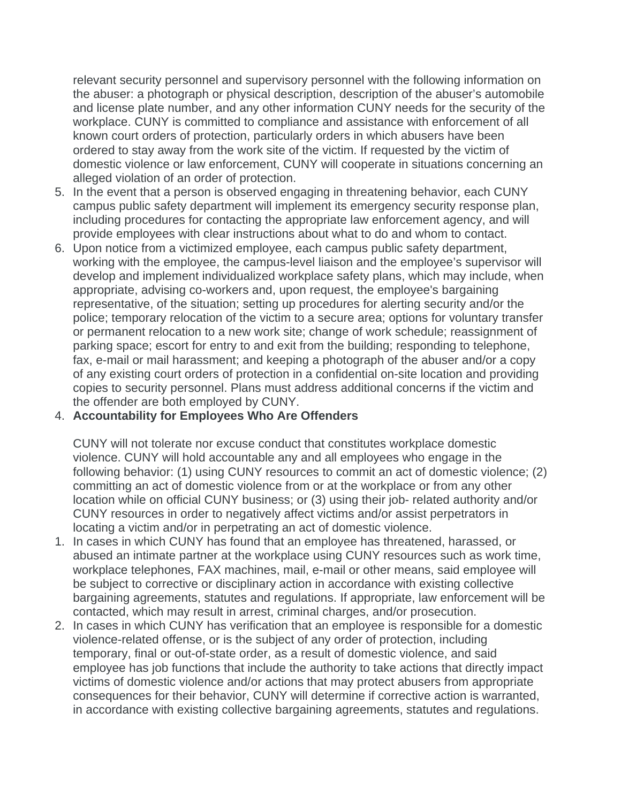relevant security personnel and supervisory personnel with the following information on the abuser: a photograph or physical description, description of the abuser's automobile and license plate number, and any other information CUNY needs for the security of the workplace. CUNY is committed to compliance and assistance with enforcement of all known court orders of protection, particularly orders in which abusers have been ordered to stay away from the work site of the victim. If requested by the victim of domestic violence or law enforcement, CUNY will cooperate in situations concerning an alleged violation of an order of protection.

- 5. In the event that a person is observed engaging in threatening behavior, each CUNY campus public safety department will implement its emergency security response plan, including procedures for contacting the appropriate law enforcement agency, and will provide employees with clear instructions about what to do and whom to contact.
- 6. Upon notice from a victimized employee, each campus public safety department, working with the employee, the campus-level liaison and the employee's supervisor will develop and implement individualized workplace safety plans, which may include, when appropriate, advising co-workers and, upon request, the employee's bargaining representative, of the situation; setting up procedures for alerting security and/or the police; temporary relocation of the victim to a secure area; options for voluntary transfer or permanent relocation to a new work site; change of work schedule; reassignment of parking space; escort for entry to and exit from the building; responding to telephone, fax, e-mail or mail harassment; and keeping a photograph of the abuser and/or a copy of any existing court orders of protection in a confidential on-site location and providing copies to security personnel. Plans must address additional concerns if the victim and the offender are both employed by CUNY.

#### 4. **Accountability for Employees Who Are Offenders**

CUNY will not tolerate nor excuse conduct that constitutes workplace domestic violence. CUNY will hold accountable any and all employees who engage in the following behavior: (1) using CUNY resources to commit an act of domestic violence; (2) committing an act of domestic violence from or at the workplace or from any other location while on official CUNY business; or (3) using their job- related authority and/or CUNY resources in order to negatively affect victims and/or assist perpetrators in locating a victim and/or in perpetrating an act of domestic violence.

- 1. In cases in which CUNY has found that an employee has threatened, harassed, or abused an intimate partner at the workplace using CUNY resources such as work time, workplace telephones, FAX machines, mail, e-mail or other means, said employee will be subject to corrective or disciplinary action in accordance with existing collective bargaining agreements, statutes and regulations. If appropriate, law enforcement will be contacted, which may result in arrest, criminal charges, and/or prosecution.
- 2. In cases in which CUNY has verification that an employee is responsible for a domestic violence-related offense, or is the subject of any order of protection, including temporary, final or out-of-state order, as a result of domestic violence, and said employee has job functions that include the authority to take actions that directly impact victims of domestic violence and/or actions that may protect abusers from appropriate consequences for their behavior, CUNY will determine if corrective action is warranted, in accordance with existing collective bargaining agreements, statutes and regulations.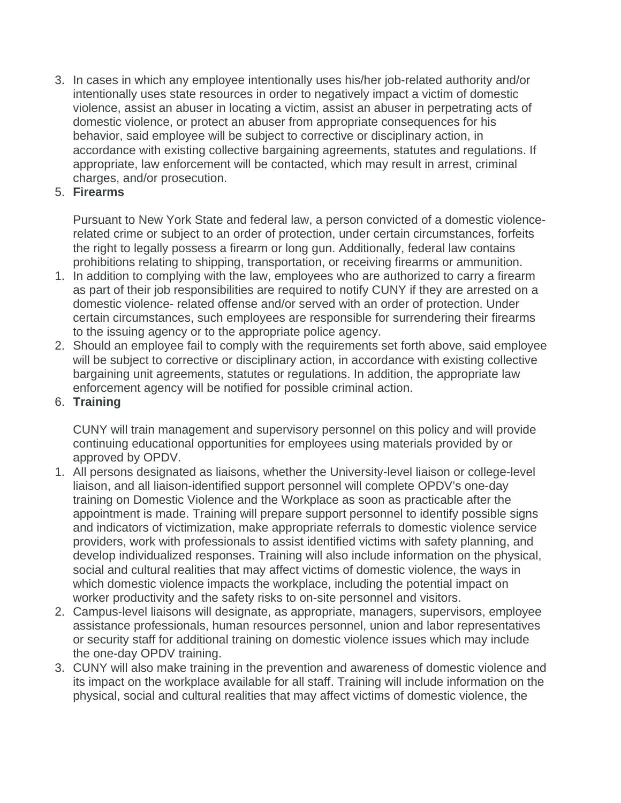3. In cases in which any employee intentionally uses his/her job-related authority and/or intentionally uses state resources in order to negatively impact a victim of domestic violence, assist an abuser in locating a victim, assist an abuser in perpetrating acts of domestic violence, or protect an abuser from appropriate consequences for his behavior, said employee will be subject to corrective or disciplinary action, in accordance with existing collective bargaining agreements, statutes and regulations. If appropriate, law enforcement will be contacted, which may result in arrest, criminal charges, and/or prosecution.

## 5. **Firearms**

Pursuant to New York State and federal law, a person convicted of a domestic violencerelated crime or subject to an order of protection, under certain circumstances, forfeits the right to legally possess a firearm or long gun. Additionally, federal law contains prohibitions relating to shipping, transportation, or receiving firearms or ammunition.

- 1. In addition to complying with the law, employees who are authorized to carry a firearm as part of their job responsibilities are required to notify CUNY if they are arrested on a domestic violence- related offense and/or served with an order of protection. Under certain circumstances, such employees are responsible for surrendering their firearms to the issuing agency or to the appropriate police agency.
- 2. Should an employee fail to comply with the requirements set forth above, said employee will be subject to corrective or disciplinary action, in accordance with existing collective bargaining unit agreements, statutes or regulations. In addition, the appropriate law enforcement agency will be notified for possible criminal action.
- 6. **Training**

CUNY will train management and supervisory personnel on this policy and will provide continuing educational opportunities for employees using materials provided by or approved by OPDV.

- 1. All persons designated as liaisons, whether the University-level liaison or college-level liaison, and all liaison-identified support personnel will complete OPDV's one-day training on Domestic Violence and the Workplace as soon as practicable after the appointment is made. Training will prepare support personnel to identify possible signs and indicators of victimization, make appropriate referrals to domestic violence service providers, work with professionals to assist identified victims with safety planning, and develop individualized responses. Training will also include information on the physical, social and cultural realities that may affect victims of domestic violence, the ways in which domestic violence impacts the workplace, including the potential impact on worker productivity and the safety risks to on-site personnel and visitors.
- 2. Campus-level liaisons will designate, as appropriate, managers, supervisors, employee assistance professionals, human resources personnel, union and labor representatives or security staff for additional training on domestic violence issues which may include the one-day OPDV training.
- 3. CUNY will also make training in the prevention and awareness of domestic violence and its impact on the workplace available for all staff. Training will include information on the physical, social and cultural realities that may affect victims of domestic violence, the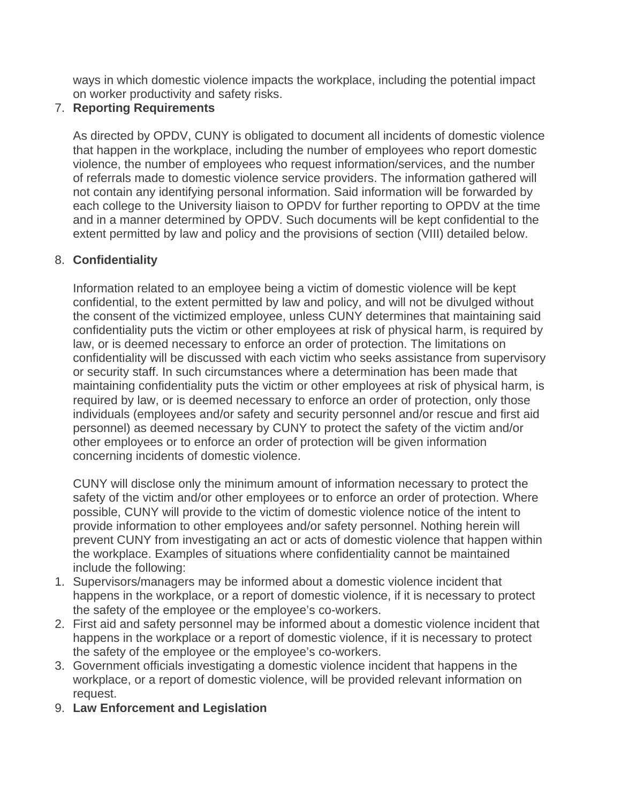ways in which domestic violence impacts the workplace, including the potential impact on worker productivity and safety risks.

### 7. **Reporting Requirements**

As directed by OPDV, CUNY is obligated to document all incidents of domestic violence that happen in the workplace, including the number of employees who report domestic violence, the number of employees who request information/services, and the number of referrals made to domestic violence service providers. The information gathered will not contain any identifying personal information. Said information will be forwarded by each college to the University liaison to OPDV for further reporting to OPDV at the time and in a manner determined by OPDV. Such documents will be kept confidential to the extent permitted by law and policy and the provisions of section (VIII) detailed below.

### 8. **Confidentiality**

Information related to an employee being a victim of domestic violence will be kept confidential, to the extent permitted by law and policy, and will not be divulged without the consent of the victimized employee, unless CUNY determines that maintaining said confidentiality puts the victim or other employees at risk of physical harm, is required by law, or is deemed necessary to enforce an order of protection. The limitations on confidentiality will be discussed with each victim who seeks assistance from supervisory or security staff. In such circumstances where a determination has been made that maintaining confidentiality puts the victim or other employees at risk of physical harm, is required by law, or is deemed necessary to enforce an order of protection, only those individuals (employees and/or safety and security personnel and/or rescue and first aid personnel) as deemed necessary by CUNY to protect the safety of the victim and/or other employees or to enforce an order of protection will be given information concerning incidents of domestic violence.

CUNY will disclose only the minimum amount of information necessary to protect the safety of the victim and/or other employees or to enforce an order of protection. Where possible, CUNY will provide to the victim of domestic violence notice of the intent to provide information to other employees and/or safety personnel. Nothing herein will prevent CUNY from investigating an act or acts of domestic violence that happen within the workplace. Examples of situations where confidentiality cannot be maintained include the following:

- 1. Supervisors/managers may be informed about a domestic violence incident that happens in the workplace, or a report of domestic violence, if it is necessary to protect the safety of the employee or the employee's co-workers.
- 2. First aid and safety personnel may be informed about a domestic violence incident that happens in the workplace or a report of domestic violence, if it is necessary to protect the safety of the employee or the employee's co-workers.
- 3. Government officials investigating a domestic violence incident that happens in the workplace, or a report of domestic violence, will be provided relevant information on request.
- 9. **Law Enforcement and Legislation**